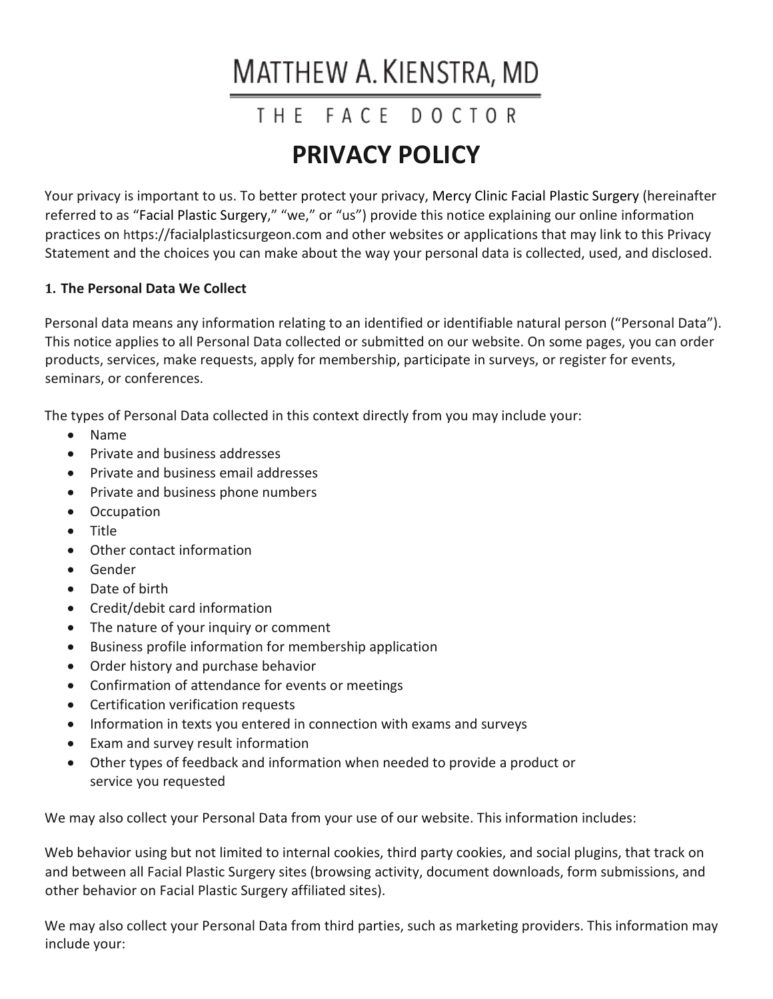# MATTHEW A. KIENSTRA, MD

# THE FACE DOCTOR

# **PRIVACY POLICY**

Your privacy is important to us. To better protect your privacy, Mercy Clinic Facial Plastic Surgery (hereinafter referred to as "Facial Plastic Surgery," "we," or "us") provide this notice explaining our online information practices on https://facialplasticsurgeon.com and other websites or applications that may link to this Privacy Statement and the choices you can make about the way your personal data is collected, used, and disclosed.

# **1. The Personal Data We Collect**

Personal data means any information relating to an identified or identifiable natural person ("Personal Data"). This notice applies to all Personal Data collected or submitted on our website. On some pages, you can order products, services, make requests, apply for membership, participate in surveys, or register for events, seminars, or conferences.

The types of Personal Data collected in this context directly from you may include your:

- Name
- Private and business addresses
- Private and business email addresses
- Private and business phone numbers
- Occupation
- Title
- Other contact information
- Gender
- Date of birth
- Credit/debit card information
- The nature of your inquiry or comment
- Business profile information for membership application
- Order history and purchase behavior
- Confirmation of attendance for events or meetings
- Certification verification requests
- Information in texts you entered in connection with exams and surveys
- Exam and survey result information
- Other types of feedback and information when needed to provide a product or service you requested

We may also collect your Personal Data from your use of our website. This information includes:

Web behavior using but not limited to internal cookies, third party cookies, and social plugins, that track on and between all Facial Plastic Surgery sites (browsing activity, document downloads, form submissions, and other behavior on Facial Plastic Surgery affiliated sites).

We may also collect your Personal Data from third parties, such as marketing providers. This information may include your: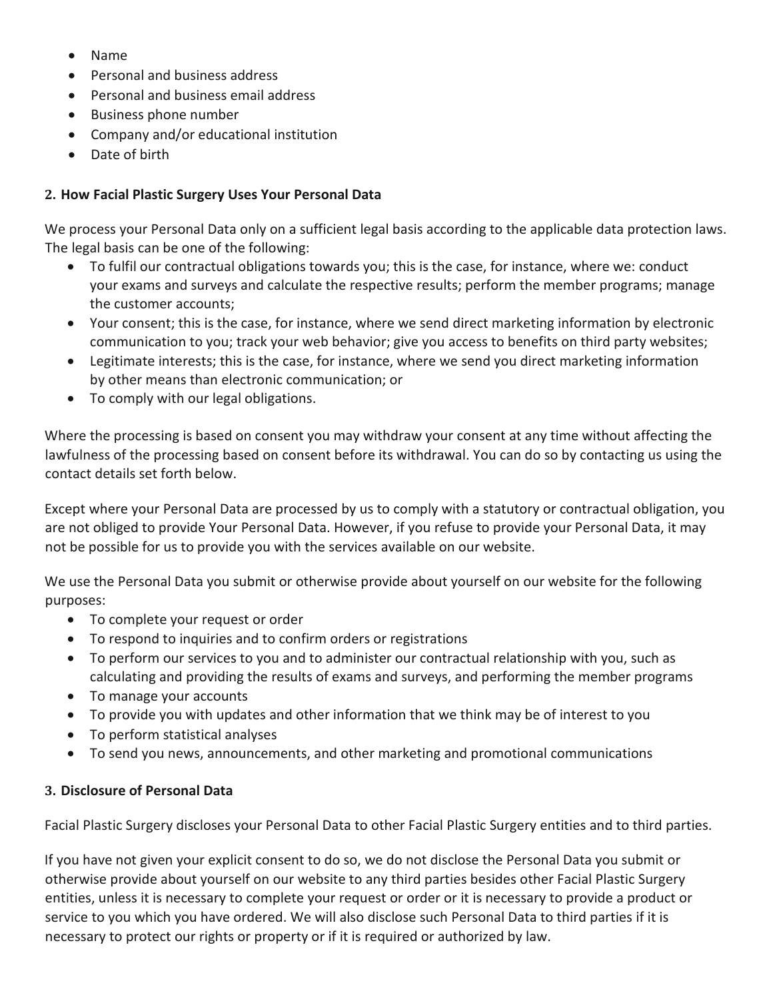- Name
- Personal and business address
- Personal and business email address
- Business phone number
- Company and/or educational institution
- Date of birth

#### **2. How Facial Plastic Surgery Uses Your Personal Data**

We process your Personal Data only on a sufficient legal basis according to the applicable data protection laws. The legal basis can be one of the following:

- To fulfil our contractual obligations towards you; this is the case, for instance, where we: conduct your exams and surveys and calculate the respective results; perform the member programs; manage the customer accounts;
- Your consent; this is the case, for instance, where we send direct marketing information by electronic communication to you; track your web behavior; give you access to benefits on third party websites;
- Legitimate interests; this is the case, for instance, where we send you direct marketing information by other means than electronic communication; or
- To comply with our legal obligations.

Where the processing is based on consent you may withdraw your consent at any time without affecting the lawfulness of the processing based on consent before its withdrawal. You can do so by contacting us using the contact details set forth below.

Except where your Personal Data are processed by us to comply with a statutory or contractual obligation, you are not obliged to provide Your Personal Data. However, if you refuse to provide your Personal Data, it may not be possible for us to provide you with the services available on our website.

We use the Personal Data you submit or otherwise provide about yourself on our website for the following purposes:

- To complete your request or order
- To respond to inquiries and to confirm orders or registrations
- To perform our services to you and to administer our contractual relationship with you, such as calculating and providing the results of exams and surveys, and performing the member programs
- To manage your accounts
- To provide you with updates and other information that we think may be of interest to you
- To perform statistical analyses
- To send you news, announcements, and other marketing and promotional communications

#### **3. Disclosure of Personal Data**

Facial Plastic Surgery discloses your Personal Data to other Facial Plastic Surgery entities and to third parties.

If you have not given your explicit consent to do so, we do not disclose the Personal Data you submit or otherwise provide about yourself on our website to any third parties besides other Facial Plastic Surgery entities, unless it is necessary to complete your request or order or it is necessary to provide a product or service to you which you have ordered. We will also disclose such Personal Data to third parties if it is necessary to protect our rights or property or if it is required or authorized by law.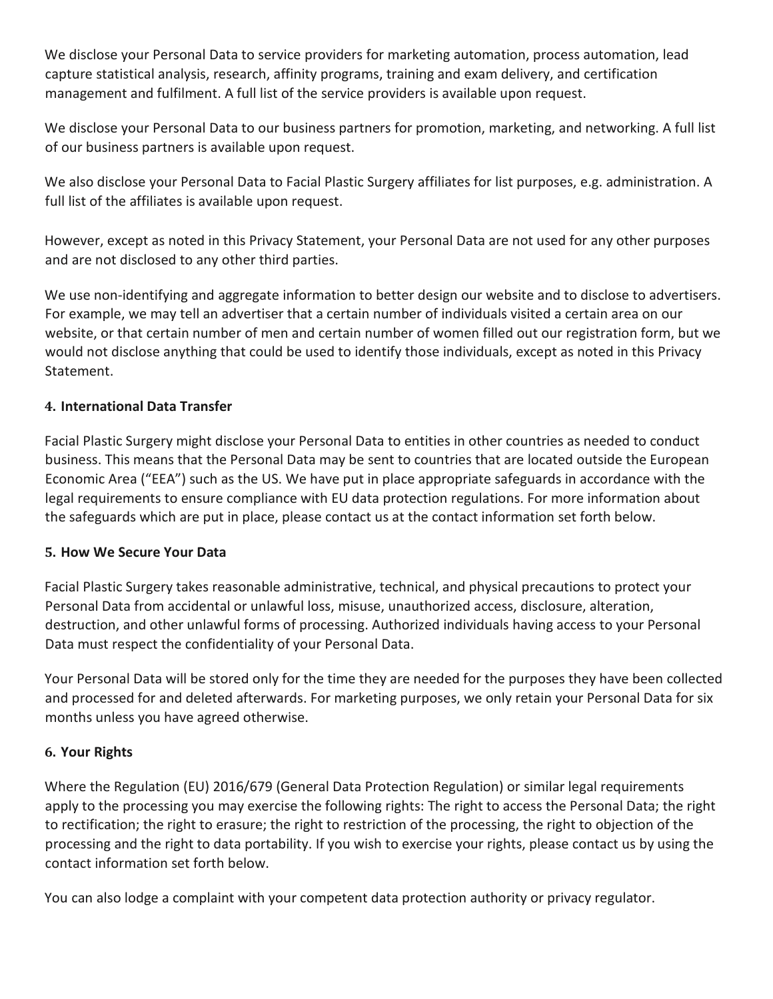We disclose your Personal Data to service providers for marketing automation, process automation, lead capture statistical analysis, research, affinity programs, training and exam delivery, and certification management and fulfilment. A full list of the service providers is available upon request.

We disclose your Personal Data to our business partners for promotion, marketing, and networking. A full list of our business partners is available upon request.

We also disclose your Personal Data to Facial Plastic Surgery affiliates for list purposes, e.g. administration. A full list of the affiliates is available upon request.

However, except as noted in this Privacy Statement, your Personal Data are not used for any other purposes and are not disclosed to any other third parties.

We use non-identifying and aggregate information to better design our website and to disclose to advertisers. For example, we may tell an advertiser that a certain number of individuals visited a certain area on our website, or that certain number of men and certain number of women filled out our registration form, but we would not disclose anything that could be used to identify those individuals, except as noted in this Privacy Statement.

# **4. International Data Transfer**

Facial Plastic Surgery might disclose your Personal Data to entities in other countries as needed to conduct business. This means that the Personal Data may be sent to countries that are located outside the European Economic Area ("EEA") such as the US. We have put in place appropriate safeguards in accordance with the legal requirements to ensure compliance with EU data protection regulations. For more information about the safeguards which are put in place, please contact us at the contact information set forth below.

#### **5. How We Secure Your Data**

Facial Plastic Surgery takes reasonable administrative, technical, and physical precautions to protect your Personal Data from accidental or unlawful loss, misuse, unauthorized access, disclosure, alteration, destruction, and other unlawful forms of processing. Authorized individuals having access to your Personal Data must respect the confidentiality of your Personal Data.

Your Personal Data will be stored only for the time they are needed for the purposes they have been collected and processed for and deleted afterwards. For marketing purposes, we only retain your Personal Data for six months unless you have agreed otherwise.

#### **6. Your Rights**

Where the Regulation (EU) 2016/679 (General Data Protection Regulation) or similar legal requirements apply to the processing you may exercise the following rights: The right to access the Personal Data; the right to rectification; the right to erasure; the right to restriction of the processing, the right to objection of the processing and the right to data portability. If you wish to exercise your rights, please contact us by using the contact information set forth below.

You can also lodge a complaint with your competent data protection authority or privacy regulator.